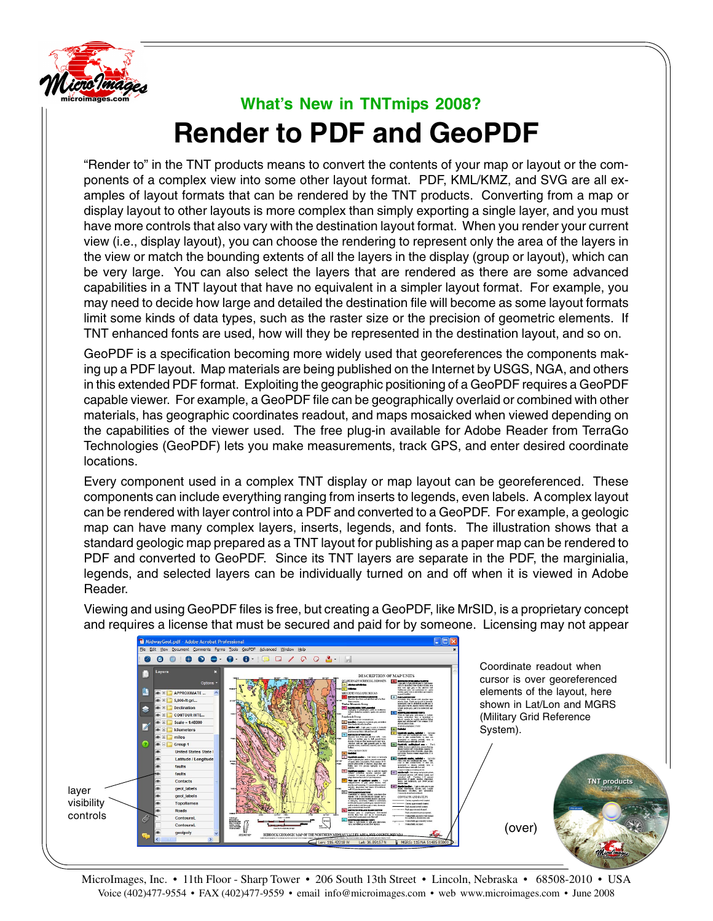

## **What's New in TNTmips 2008? Render to PDF and GeoPDF**

"Render to" in the TNT products means to convert the contents of your map or layout or the components of a complex view into some other layout format. PDF, KML/KMZ, and SVG are all examples of layout formats that can be rendered by the TNT products. Converting from a map or display layout to other layouts is more complex than simply exporting a single layer, and you must have more controls that also vary with the destination layout format. When you render your current view (i.e., display layout), you can choose the rendering to represent only the area of the layers in the view or match the bounding extents of all the layers in the display (group or layout), which can be very large. You can also select the layers that are rendered as there are some advanced capabilities in a TNT layout that have no equivalent in a simpler layout format. For example, you may need to decide how large and detailed the destination file will become as some layout formats limit some kinds of data types, such as the raster size or the precision of geometric elements. If TNT enhanced fonts are used, how will they be represented in the destination layout, and so on.

GeoPDF is a specification becoming more widely used that georeferences the components making up a PDF layout. Map materials are being published on the Internet by USGS, NGA, and others in this extended PDF format. Exploiting the geographic positioning of a GeoPDF requires a GeoPDF capable viewer. For example, a GeoPDF file can be geographically overlaid or combined with other materials, has geographic coordinates readout, and maps mosaicked when viewed depending on the capabilities of the viewer used. The free plug-in available for Adobe Reader from TerraGo Technologies (GeoPDF) lets you make measurements, track GPS, and enter desired coordinate locations.

Every component used in a complex TNT display or map layout can be georeferenced. These components can include everything ranging from inserts to legends, even labels. A complex layout can be rendered with layer control into a PDF and converted to a GeoPDF. For example, a geologic map can have many complex layers, inserts, legends, and fonts. The illustration shows that a standard geologic map prepared as a TNT layout for publishing as a paper map can be rendered to PDF and converted to GeoPDF. Since its TNT layers are separate in the PDF, the marginialia, legends, and selected layers can be individually turned on and off when it is viewed in Adobe Reader.



Viewing and using GeoPDF files is free, but creating a GeoPDF, like MrSID, is a proprietary concept and requires a license that must be secured and paid for by someone. Licensing may not appear